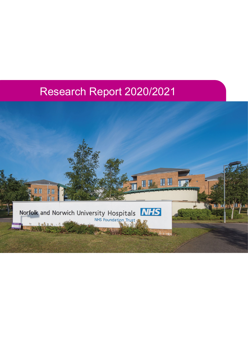# Research Report 2020/2021

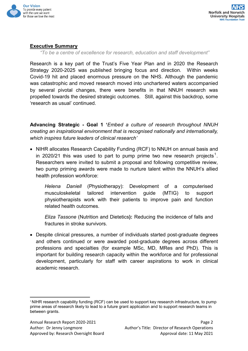

# <span id="page-1-1"></span>**Executive Summary**

*"To be a centre of excellence for research, education and staff development"*

Research is a key part of the Trust's Five Year Plan and in 2020 the Research Strategy 2020-2025 was published bringing focus and direction. Within weeks Covid-19 hit and placed enormous pressure on the NHS. Although the pandemic was catastrophic and moved research moved into unchartered waters accompanied by several pivotal changes, there were benefits in that NNUH research was propelled towards the desired strategic outcomes. Still, against this backdrop, some 'research as usual' continued.

**Advancing Strategic - Goal 1 '***Embed a culture of research throughout NNUH creating an inspirational environment that is recognised nationally and internationally, which inspires future leaders of clinical research'*

• NIHR allocates Research Capability Funding (RCF) to NNUH on annual basis and in 2020/2[1](#page-1-0) this was used to part to pump prime two new research projects<sup>1</sup>. Researchers were invited to submit a proposal and following competitive review, two pump priming awards were made to nurture talent within the NNUH's allied health profession workforce:

*Helena Daniell* (Physiotherapy): Development of a computerised musculoskeletal tailored intervention guide (MTIG) to support physiotherapists work with their patients to improve pain and function related health outcomes.

*Eliza Tassone* (Nutrition and Dietetics**):** Reducing the incidence of falls and fractures in stroke survivors.

• Despite clinical pressures, a number of individuals started post-graduate degrees and others continued or were awarded post-graduate degrees across different professions and specialties (for example MSc, MD, MRes and PhD). This is important for building research capacity within the workforce and for professional development, particularly for staff with career aspirations to work in clinical academic research.

<span id="page-1-0"></span><sup>&</sup>lt;sup>1</sup> NIHR research capability funding (RCF) can be used to support key research infrastructure, to pump prime areas of research likely to lead to a future grant application and to support research teams in between grants.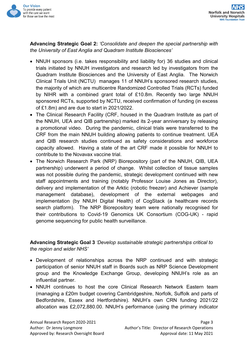

**Advancing Strategic Goal 2:** *'Consolidate and deepen the special partnership with the University of East Anglia and Quadram Institute Biosciences'*

- NNUH sponsors (i.e. takes responsibility and liability for) 36 studies and clinical trials initiated by NNUH investigators and research led by investigators from the Quadram Institute Biosciences and the University of East Anglia. The Norwich Clinical Trials Unit (NCTU) manages 11 of NNUH's sponsored research studies, the majority of which are multicentre Randomized Controlled Trials (RCTs) funded by NIHR with a combined grant total of £10.8m. Recently two large NNUH sponsored RCTs, supported by NCTU, received confirmation of funding (in excess of £1.8m) and are due to start in 2021/2022.
- The Clinical Research Facility (CRF, housed in the Quadram Institute as part of the NNUH, UEA and QIB partnership) marked its 2-year anniversary by releasing a promotional video. During the pandemic, clinical trials were transferred to the CRF from the main NNUH building allowing patients to continue treatment. UEA and QIB research studies continued as safety considerations and workforce capacity allowed. Having a state of the art CRF made it possible for NNUH to contribute to the Novavax vaccine trial.
- The Norwich Research Park (NRP) Biorepository (part of the NNUH, QIB, UEA partnership) underwent a period of change. Whilst collection of tissue samples was not possible during the pandemic, strategic development continued with new staff appointments and training (notably Professor Louise Jones as Director), delivery and implementation of the Arktic (robotic freezer) and Achiever (sample management database), development of the external webpages and implementation (by NNUH Digital Health) of CogStack (a healthcare records search platform). The NRP Biorepository team were nationally recognised for their contributions to Covid-19 Genomics UK Consortium (COG-UK) - rapid genome sequencing for public health surveillance.

**Advancing Strategic Goal 3** *'Develop sustainable strategic partnerships critical to the region and wider NHS'*

- Development of relationships across the NRP continued and with strategic participation of senior NNUH staff in Boards such as NRP Science Development group and the Knowledge Exchange Group, developing NNUH's role as an influential partner.
- NNUH continues to host the core Clinical Research Network Eastern team (managing a £20m budget covering Cambridgeshire, Norfolk, Suffolk and parts of Bedfordshire, Essex and Hertfordshire). NNUH's own CRN funding 2021/22 allocation was £2,072,880.00. NNUH's performance (using the primary indicator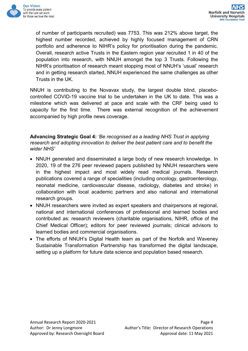

of number of participants recruited) was 7753. This was 212% above target, the highest number recorded, achieved by highly focused management of CRN portfolio and adherence to NIHR's policy for prioritisation during the pandemic. Overall, research active Trusts in the Eastern region year recruited 1 in 40 of the population into research, with NNUH amongst the top 3 Trusts. Following the NIHR's prioritisation of research meant stopping most of NNUH's 'usual' research and in getting research started, NNUH experienced the same challenges as other Trusts in the UK.

NNUH is contributing to the Novavax study, the largest double blind, placebocontrolled COVID-19 vaccine trial to be undertaken in the UK to date. This was a milestone which was delivered at pace and scale with the CRF being used to capacity for the first time. There was external recognition of the achievement accompanied by high profile news coverage.

**Advancing Strategic Goal 4:** *'Be recognised as a leading NHS Trust in applying research and adopting innovation to deliver the best patient care and to benefit the wider NHS'*

- NNUH generated and disseminated a large body of new research knowledge. In 2020, 19 of the 276 peer reviewed papers published by NNUH researchers were in the highest impact and most widely read medical journals. Research publications covered a range of specialities (including oncology, gastroenterology, neonatal medicine, cardiovascular disease, radiology, diabetes and stroke) in collaboration with local academic partners and also national and international research groups.
- NNUH researchers were invited as expert speakers and chairpersons at regional, national and international conferences of professional and learned bodies and contributed as: research reviewers (charitable organisations, NIHR, office of the Chief Medical Officer); editors for peer reviewed journals; clinical advisors to learned bodies and commercial organisations.
- The efforts of NNUH's Digital Health team as part of the Norfolk and Waveney Sustainable Transformation Partnership has transformed the digital landscape, setting up a platform for future data science and population based research.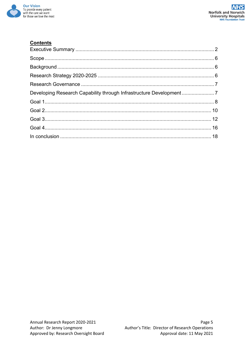

# **Contents**

| Developing Research Capability through Infrastructure Development7 |  |
|--------------------------------------------------------------------|--|
|                                                                    |  |
|                                                                    |  |
|                                                                    |  |
|                                                                    |  |
|                                                                    |  |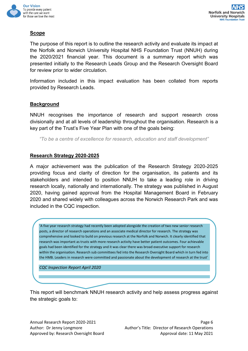

# <span id="page-5-0"></span>**Scope**

The purpose of this report is to outline the research activity and evaluate its impact at the Norfolk and Norwich University Hospital NHS Foundation Trust (NNUH) during the 2020/2021 financial year. This document is a summary report which was presented initially to the Research Leads Group and the Research Oversight Board for review prior to wider circulation.

Information included in this impact evaluation has been collated from reports provided by Research Leads.

#### <span id="page-5-1"></span>**Background**

NNUH recognises the importance of research and support research cross divisionally and at all levels of leadership throughout the organisation. Research is a key part of the Trust's Five Year Plan with one of the goals being:

*"To be a centre of excellence for research, education and staff development"*

#### <span id="page-5-2"></span>**Research Strategy 2020-2025**

A major achievement was the publication of the Research Strategy 2020-2025 providing focus and clarity of direction for the organisation, its patients and its stakeholders and intended to position NNUH to take a leading role in driving research locally, nationally and internationally. The strategy was published in August 2020, having gained approval from the Hospital Management Board in February 2020 and shared widely with colleagues across the Norwich Research Park and was included in the CQC inspection.

'A five year research strategy had recently been adopted alongside the creation of two new senior research posts, a director of research operations and an associate medical director for research. The strategy was comprehensive and looked to build on previous research at the Norfolk and Norwich. It clearly identified that research was important as trusts with more research activity have better patient outcomes. Four achievable goals had been identified for the strategy and it was clear there was broad executive support for research within the organisation. Research sub committees fed into the Research Oversight Board which in turn fed into the HMB. Leaders in research were committed and passionate about the development of research at the trust'

*CQC Inspection Report April 2020*

This report will benchmark NNUH research activity and help assess progress against the strategic goals to: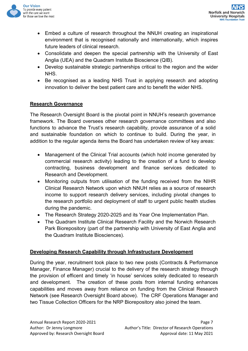

- Embed a culture of research throughout the NNUH creating an inspirational environment that is recognised nationally and internationally, which inspires future leaders of clinical research.
- Consolidate and deepen the special partnership with the University of East Anglia (UEA) and the Quadram Institute Bioscience (QIB).
- Develop sustainable strategic partnerships critical to the region and the wider NHS.
- Be recognised as a leading NHS Trust in applying research and adopting innovation to deliver the best patient care and to benefit the wider NHS.

# <span id="page-6-0"></span>**Research Governance**

The Research Oversight Board is the pivotal point in NNUH's research governance framework. The Board oversees other research governance committees and also functions to advance the Trust's research capability, provide assurance of a solid and sustainable foundation on which to continue to build. During the year, in addition to the regular agenda items the Board has undertaken review of key areas:

- Management of the Clinical Trial accounts (which hold income generated by commercial research activity) leading to the creation of a fund to develop contracting, business development and finance services dedicated to Research and Development.
- Monitoring outputs from utilisation of the funding received from the NIHR Clinical Research Network upon which NNUH relies as a source of research income to support research delivery services, including pivotal changes to the research portfolio and deployment of staff to urgent public health studies during the pandemic.
- The Research Strategy 2020-2025 and its Year One Implementation Plan.
- The Quadram Institute Clinical Research Facility and the Norwich Research Park Biorepository (part of the partnership with University of East Anglia and the Quadram Institute Biosciences).

# <span id="page-6-1"></span>**Developing Research Capability through Infrastructure Development**

During the year, recruitment took place to two new posts (Contracts & Performance Manager, Finance Manager) crucial to the delivery of the research strategy through the provision of efficent and timely 'in house' services solely dedicated to research and development. The creation of these posts from internal funding enhances capabilities and moves away from reliance on funding from the Clinical Research Network (see Research Oversight Board above). The CRF Operations Manager and two Tissue Collection Officers for the NRP Biorepository also joined the team.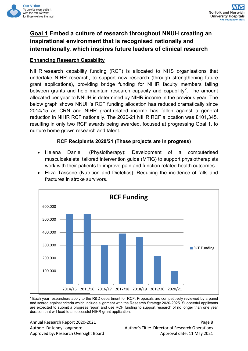

# <span id="page-7-0"></span>**Goal 1 Embed a culture of research throughout NNUH creating an inspirational environment that is recognised nationally and internationally, which inspires future leaders of clinical research**

## **Enhancing Research Capability**

NIHR research capability funding (RCF) is allocated to NHS organisations that undertake NIHR research, to support new research (through strengthening future grant applications), providing bridge funding for NIHR faculty members falling between grants and help maintain research capacity and capability<sup>[2](#page-7-1)</sup>. The amount allocated per year to NNUH is determined by NIHR income in the previous year. The below graph shows NNUH's RCF funding allocation has reduced dramatically since 2014/15 as CRN and NIHR grant-related income has fallen against a general reduction in NIHR RCF nationally. The 2020-21 NIHR RCF allocation was £101,345, resulting in only two RCF awards being awarded, focused at progressing Goal 1, to nurture home grown research and talent.

#### **RCF Recipients 2020/21 (These projects are in progress)**

- Helena Daniell (Physiotherapy): Development of a computerised musculoskeletal tailored intervention guide (MTIG) to support physiotherapists work with their patients to improve pain and function related health outcomes.
- Eliza Tassone (Nutrition and Dietetics): Reducing the incidence of falls and fractures in stroke survivors.



<span id="page-7-1"></span> $2$  Each year researchers apply to the R&D department for RCF. Proposals are competitively reviewed by a panel and scored against criteria which include alignment with the Research Strategy 2020-2025. Successful applicants are expected to submit a progress report and use RCF funding to support research of no longer than one year duration that will lead to a successful NIHR grant application.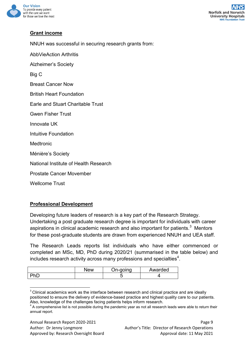

# **Grant income**

NNUH was successful in securing research grants from:

AbbVieAction Arthritis

Alzheimer's Society

Big C

Breast Cancer Now

British Heart Foundation

Earle and Stuart Charitable Trust

Gwen Fisher Trust

Innovate UK

Intuitive Foundation

Medtronic

Ménière's Society

National Institute of Health Research

Prostate Cancer Movember

Wellcome Trust

# **Professional Development**

Developing future leaders of research is a key part of the Research Strategy. Undertaking a post graduate research degree is important for individuals with career aspirations in clinical academic research and also important for patients. $^3\,$  $^3\,$  $^3\,$  Mentors for these post-graduate students are drawn from experienced NNUH and UEA staff.

The Research Leads reports list individuals who have either commenced or completed an MSc, MD, PhD during 2020/21 (summarised in the table below) and includes research activity across many professions and specialties $^4$  $^4$ .

| New | Jn-aoina | Awarded |
|-----|----------|---------|
|     |          |         |

<span id="page-8-0"></span> $3$  Clinical academics work as the interface between research and clinical practice and are ideally positioned to ensure the delivery of evidence-based practice and highest quality care to our patients. Also, knowledge of the challenges facing patients helps inform research.<br> $4$  A comprehensive list is not possible during the pandemic year as not all research leads were able to return their

<span id="page-8-1"></span>annual report.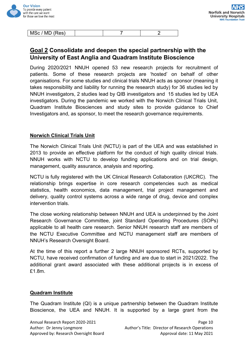

| MSc / MD (Res) |  |  |
|----------------|--|--|
|                |  |  |

# <span id="page-9-0"></span>**Goal 2 Consolidate and deepen the special partnership with the University of East Anglia and Quadram Institute Bioscience**

During 2020/2021 NNUH opened 53 new research projects for recruitment of patients. Some of these research projects are 'hosted' on behalf of other organisations. For some studies and clinical trials NNUH acts as sponsor (meaning it takes responsibility and liability for running the research study) for 36 studies led by NNUH investigators, 2 studies lead by QIB investigators and 15 studies led by UEA investigators. During the pandemic we worked with the Norwich Clinical Trials Unit, Quadram Institute Biosciences and study sites to provide guidance to Chief Investigators and, as sponsor, to meet the research governance requirements.

#### **Norwich Clinical Trials Unit**

The Norwich Clinical Trials Unit (NCTU) is part of the UEA and was established in 2013 to provide an effective platform for the conduct of high quality clinical trials. NNUH works with NCTU to develop funding applications and on trial design, management, quality assurance, analysis and reporting.

NCTU is fully registered with the UK Clinical Research Collaboration (UKCRC). The relationship brings expertise in core research competencies such as medical statistics, health economics, data management, trial project management and delivery, quality control systems across a wide range of drug, device and complex intervention trials.

The close working relationship between NNUH and UEA is underpinned by the Joint Research Governance Committee, joint Standard Operating Procedures (SOPs) applicable to all health care research. Senior NNUH research staff are members of the NCTU Executive Committee and NCTU management staff are members of NNUH's Research Oversight Board.

At the time of this report a further 2 large NNUH sponsored RCTs, supported by NCTU, have received confirmation of funding and are due to start in 2021/2022. The additional grant award associated with these additional projects is in excess of £1.8m.

#### **Quadram Institute**

The Quadram Institute (QI) is a unique partnership between the Quadram Institute Bioscience, the UEA and NNUH. It is supported by a large grant from the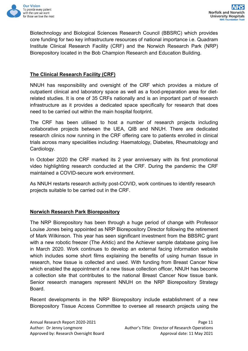

Biotechnology and Biological Sciences Research Council (BBSRC) which provides core funding for two key infrastructure resources of national importance i.e. Quadram Institute Clinical Research Facility (CRF) and the Norwich Research Park (NRP) Biorepository located in the Bob Champion Research and Education Building.

# **The Clinical Research Facility (CRF)**

NNUH has responsibility and oversight of the CRF which provides a mixture of outpatient clinical and laboratory space as well as a food-preparation area for dietrelated studies. It is one of 35 CRFs nationally and is an important part of research infrastructure as it provides a dedicated space specifically for research that does need to be carried out within the main hospital footprint.

The CRF has been utilised to host a number of research projects including collaborative projects between the UEA, QIB and NNUH. There are dedicated research clinics now running in the CRF offering care to patients enrolled in clinical trials across many specialities including: Haematology, Diabetes, Rheumatology and Cardiology.

In October 2020 the CRF marked its 2 year anniversary with its first promotional video highlighting research conducted at the CRF. During the pandemic the CRF maintained a COVID-secure work environment.

As NNUH restarts research activity post-COVID, work continues to identify research projects suitable to be carried out in the CRF.

# **Norwich Research Park Biorepository**

The NRP Biorepository has been through a huge period of change with Professor Louise Jones being appointed as NRP Biorepository Director following the retirement of Mark Wilkinson. This year has seen significant investment from the BBSRC grant with a new robotic freezer (The Arktic) and the Achiever sample database going live in March 2020. Work continues to develop an external facing information website which includes some short films explaining the benefits of using human tissue in research, how tissue is collected and used. With funding from Breast Cancer Now which enabled the appointment of a new tissue collection officer, NNUH has become a collection site that contributes to the national Breast Cancer Now tissue bank. Senior research managers represent NNUH on the NRP Biorepository Strategy Board.

Recent developments in the NRP Biorepository include establishment of a new Biorepository Tissue Access Committee to oversee all research projects using the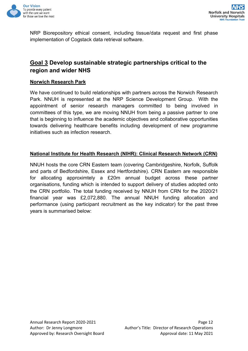

NRP Biorepository ethical consent, including tissue/data request and first phase implementation of Cogstack data retrieval software.

# <span id="page-11-0"></span>**Goal 3 Develop sustainable strategic partnerships critical to the region and wider NHS**

#### **Norwich Research Park**

We have continued to build relationships with partners across the Norwich Research Park. NNUH is represented at the NRP Science Development Group. With the appointment of senior research managers committed to being involved in committees of this type, we are moving NNUH from being a passive partner to one that is beginning to influence the academic objectives and collaborative opportunities towards delivering healthcare benefits including development of new programme initiatives such as infection research.

#### **National Institute for Health Research (NIHR): Clinical Research Network (CRN)**

NNUH hosts the core CRN Eastern team (covering Cambridgeshire, Norfolk, Suffolk and parts of Bedfordshire, Essex and Hertfordshire). CRN Eastern are responsible for allocating approximtely a £20m annual budget across these partner organisations, funding which is intended to support delivery of studies adopted onto the CRN portfolio. The total funding received by NNUH from CRN for the 2020/21 financial year was £2,072,880. The annual NNUH funding allocation and performance (using participant recruitment as the key indicator) for the past three years is summarised below: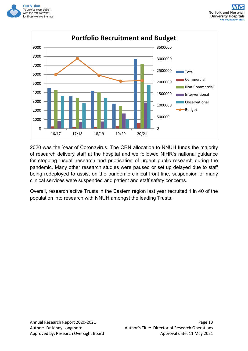



2020 was the Year of Coronavirus. The CRN allocation to NNUH funds the majority of research delivery staff at the hospital and we followed NIHR's national guidance for stopping 'usual' research and priorisation of urgent public research during the pandemic. Many other research studies were paused or set up delayed due to staff being redeployed to assist on the pandemic clinical front line, suspension of many clinical services were suspended and patient and staff safety concerns.

Overall, research active Trusts in the Eastern region last year recruited 1 in 40 of the population into research with NNUH amongst the leading Trusts.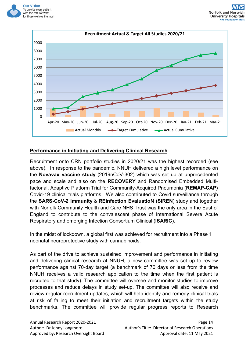



# **Performance in Initiating and Delivering Clinical Research**

Recruitment onto CRN portfolio studies in 2020/21 was the highest recorded (see above). In response to the pandemic, NNUH delivered a high level performance on the **Novavax vaccine study** (2019nCoV-302) which was set up at unprecedented pace and scale and also on the **RECOVERY** and Randomised Embedded Multifactorial, Adaptive Platform Trial for Community-Acquired Pneumonia (**REMAP-CAP)** Covid-19 clinical trials platforms. We also contributed to Covid surveillance through the **SARS-CoV-2 Immunity** & **REinfection EvaluatioN (SIREN**) study and together with Norfolk Community Health and Care NHS Trust was the only area in the East of England to contribute to the convalescent phase of International Severe Acute Respiratory and emerging Infection Consortium Clinical (**ISARIC**).

In the midst of lockdown, a global first was achieved for recruitment into a Phase 1 neonatal neuroprotective study with cannabinoids.

As part of the drive to achieve sustained improvement and performance in initiating and delivering clinical research at NNUH, a new committee was set up to review performance against 70-day target (a benchmark of 70 days or less from the time NNUH receives a valid research application to the time when the first patient is recruited to that study). The committee will oversee and monitor studies to improve processes and reduce delays in study set-up. The committee will also receive and review regular recruitment updates, which will help identify and remedy clinical trials at risk of failing to meet their initiation and recruitment targets within the study benchmarks. The committee will provide regular progress reports to Research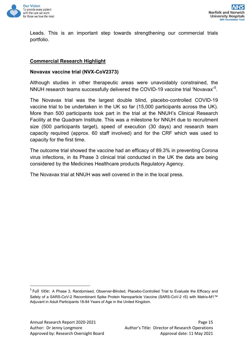

Leads. This is an important step towards strengthening our commercial trials portfolio.

#### **Commercial Research Highlight**

#### **Novavax vaccine trial (NVX-CoV2373)**

Although studies in other therapeutic areas were unavoidably constrained, the NNUH research teams successfully delivered the COVID-19 vaccine trial 'Novavax' $^5\!$  $^5\!$  $^5\!$ .

The Novavax trial was the largest double blind, placebo-controlled COVID-19 vaccine trial to be undertaken in the UK so far (15,000 participants across the UK). More than 500 participants took part in the trial at the NNUH's Clinical Research Facility at the Quadram Institute. This was a milestone for NNUH due to recruitment size (500 participants target), speed of execution (30 days) and research team capacity required (approx. 60 staff involved) and for the CRF which was used to capacity for the first time.

The outcome trial showed the vaccine had an efficacy of 89.3% in preventing Corona virus infections, in its Phase 3 clinical trial conducted in the UK the data are being considered by the Medicines Healthcare products Regulatory Agency.

The Novavax trial at NNUH was well covered in the in the local press.

<span id="page-14-0"></span><sup>&</sup>lt;sup>5</sup> Full title: A Phase 3, Randomised, Observer-Blinded, Placebo-Controlled Trial to Evaluate the Efficacy and Safety of a SARS-CoV-2 Recombinant Spike Protein Nanoparticle Vaccine (SARS-CoV-2 rS) with Matrix-M1™ Adjuvant in Adult Participants 18-84 Years of Age in the United Kingdom.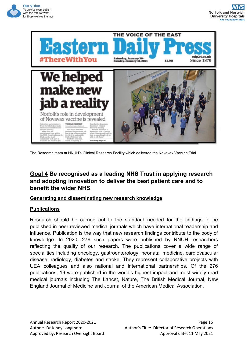



The Research team at NNUH's Clinical Research Facility which delivered the Novavax Vaccine Trial

# <span id="page-15-0"></span>**Goal 4 Be recognised as a leading NHS Trust in applying research and adopting innovation to deliver the best patient care and to benefit the wider NHS**

#### **Generating and disseminating new research knowledge**

# **Publications**

Research should be carried out to the standard needed for the findings to be published in peer reviewed medical journals which have international readership and influence. Publication is the way that new research findings contribute to the body of knowledge. In 2020, 276 such papers were published by NNUH researchers reflecting the quality of our research. The publications cover a wide range of specialities including oncology, gastroenterology, neonatal medicine, cardiovascular disease, radiology, diabetes and stroke. They represent collaborative projects with UEA colleagues and also national and international partnerships. Of the 276 publications, 19 were published in the world's highest impact and most widely read medical journals including The Lancet, Nature, The British Medical Journal, New England Journal of Medicine and Journal of the American Medical Association.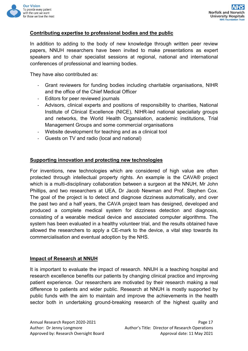

# **Contributing expertise to professional bodies and the public**

In addition to adding to the body of new knowledge through written peer review papers, NNUH researchers have been invited to make presentations as expert speakers and to chair specialist sessions at regional, national and international conferences of professional and learning bodies.

They have also contributed as:

- *-* Grant reviewers for funding bodies including charitable organisations, NIHR and the office of the Chief Medical Officer
- *-* Editors for peer reviewed journals
- *-* Advisors, clinical experts and positions of responsibility to charities, National Institute of Clinical Excellence (NICE), NIHR-led national specialiaty groups and networks, the World Health Organsiation, academic institutions, Trial Management Groups and some commercial organisations
- *-* Website development for teaching and as a clinical tool
- *-* Guests on TV and radio (local and national)

#### **Supporting innovation and protecting new technologies**

For inventions, new technologies which are considered of high value are often protected through intellectual property rights. An example is the CAVA® project which is a multi-disciplinary collaboration between a surgeon at the NNUH, Mr John Phillips, and two researchers at UEA, Dr Jacob Newman and Prof. Stephen Cox. The goal of the project is to detect and diagnose dizziness automatically, and over the past two and a half years, the CAVA project team has designed, developed and produced a complete medical system for dizziness detection and diagnosis, consisting of a wearable medical device and associated computer algorithms. The system has been evaluated in a healthy volunteer trial, and the results obtained have allowed the researchers to apply a CE-mark to the device, a vital step towards its commercialisation and eventual adoption by the NHS.

#### **Impact of Research at NNUH**

It is important to evaluate the impact of research. NNUH is a teaching hospital and research excellence benefits our patients by changing clinical practice and improving patient experience. Our researchers are motivated by their research making a real difference to patients and wider public. Research at NNUH is mostly supported by public funds with the aim to maintain and improve the achievements in the health sector both in undertaking ground-breaking research of the highest quality and